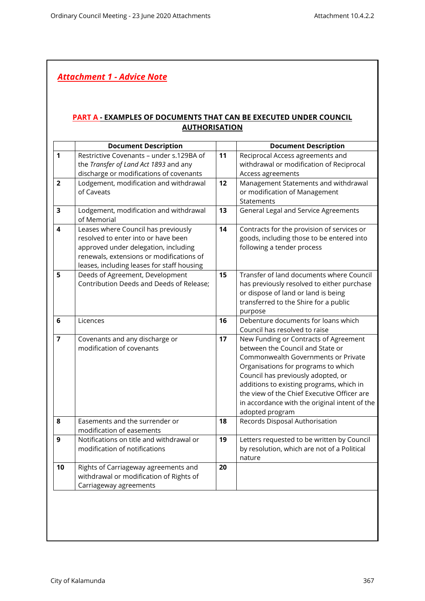## *Attachment 1 - Advice Note*

## **PART A - EXAMPLES OF DOCUMENTS THAT CAN BE EXECUTED UNDER COUNCIL AUTHORISATION**

|                         | <b>Document Description</b>                |    | <b>Document Description</b>                   |
|-------------------------|--------------------------------------------|----|-----------------------------------------------|
| $\mathbf{1}$            | Restrictive Covenants - under s.129BA of   | 11 | Reciprocal Access agreements and              |
|                         | the Transfer of Land Act 1893 and any      |    | withdrawal or modification of Reciprocal      |
|                         | discharge or modifications of covenants    |    | Access agreements                             |
| $\overline{2}$          | Lodgement, modification and withdrawal     | 12 | Management Statements and withdrawal          |
|                         | of Caveats                                 |    | or modification of Management                 |
|                         |                                            |    | Statements                                    |
| $\overline{\mathbf{3}}$ | Lodgement, modification and withdrawal     | 13 | General Legal and Service Agreements          |
|                         | of Memorial                                |    |                                               |
| 4                       | Leases where Council has previously        | 14 | Contracts for the provision of services or    |
|                         | resolved to enter into or have been        |    | goods, including those to be entered into     |
|                         | approved under delegation, including       |    | following a tender process                    |
|                         | renewals, extensions or modifications of   |    |                                               |
|                         | leases, including leases for staff housing |    |                                               |
| 5                       | Deeds of Agreement, Development            | 15 | Transfer of land documents where Council      |
|                         | Contribution Deeds and Deeds of Release;   |    | has previously resolved to either purchase    |
|                         |                                            |    | or dispose of land or land is being           |
|                         |                                            |    | transferred to the Shire for a public         |
|                         |                                            |    | purpose                                       |
| 6                       | Licences                                   | 16 | Debenture documents for loans which           |
|                         |                                            |    | Council has resolved to raise                 |
| $\overline{7}$          | Covenants and any discharge or             | 17 | New Funding or Contracts of Agreement         |
|                         | modification of covenants                  |    | between the Council and State or              |
|                         |                                            |    | Commonwealth Governments or Private           |
|                         |                                            |    | Organisations for programs to which           |
|                         |                                            |    | Council has previously adopted, or            |
|                         |                                            |    | additions to existing programs, which in      |
|                         |                                            |    | the view of the Chief Executive Officer are   |
|                         |                                            |    | in accordance with the original intent of the |
|                         |                                            |    | adopted program                               |
| 8                       | Easements and the surrender or             | 18 | Records Disposal Authorisation                |
|                         | modification of easements                  |    |                                               |
| 9                       | Notifications on title and withdrawal or   | 19 | Letters requested to be written by Council    |
|                         | modification of notifications              |    | by resolution, which are not of a Political   |
|                         |                                            |    | nature                                        |
| 10                      | Rights of Carriageway agreements and       | 20 |                                               |
|                         | withdrawal or modification of Rights of    |    |                                               |
|                         | Carriageway agreements                     |    |                                               |